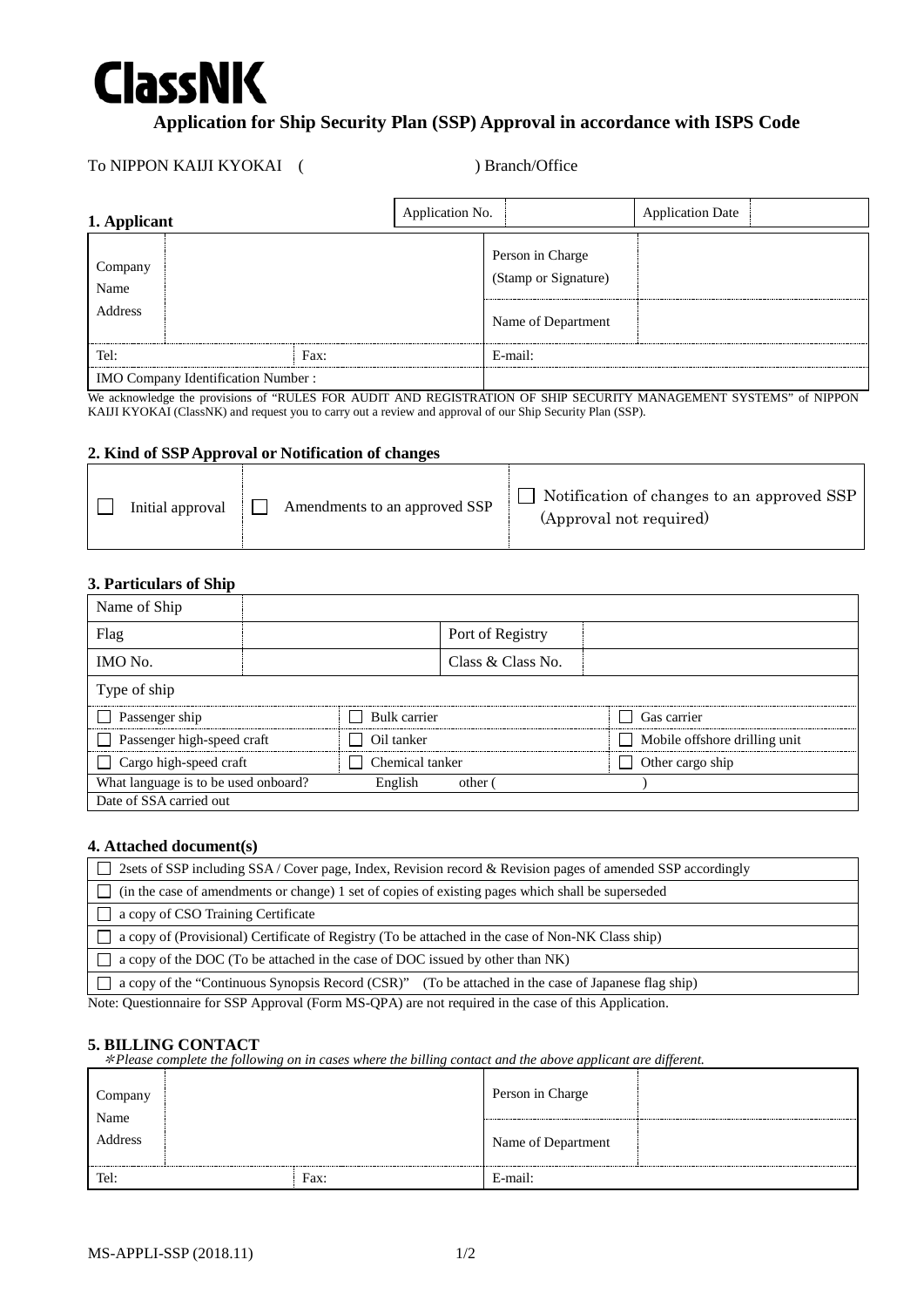

# **Application for Ship Security Plan (SSP) Approval in accordance with ISPS Code**

## To NIPPON KAIJI KYOKAI ( ) Branch/Office

| 1. Applicant                              |      | Application No. |                                                                | <b>Application Date</b> |  |
|-------------------------------------------|------|-----------------|----------------------------------------------------------------|-------------------------|--|
| Company<br>Name<br>Address                |      |                 | Person in Charge<br>(Stamp or Signature)<br>Name of Department |                         |  |
| Tel:                                      | Fax: |                 | E-mail:                                                        |                         |  |
| <b>IMO Company Identification Number:</b> |      |                 |                                                                |                         |  |

We acknowledge the provisions of "RULES FOR AUDIT AND REGISTRATION OF SHIP SECURITY MANAGEMENT SYSTEMS" of NIPPON KAIJI KYOKAI (ClassNK) and request you to carry out a review and approval of our Ship Security Plan (SSP).

#### **2. Kind of SSP Approval or Notification of changes**

| Initial approval | Amendments to an approved SSP | Notification of changes to an approved SSP<br>(Approval not required) |
|------------------|-------------------------------|-----------------------------------------------------------------------|
|------------------|-------------------------------|-----------------------------------------------------------------------|

### **3. Particulars of Ship**

| Name of Ship                         |              |            |                   |  |                               |  |
|--------------------------------------|--------------|------------|-------------------|--|-------------------------------|--|
| Flag                                 |              |            | Port of Registry  |  |                               |  |
| IMO No.                              |              |            | Class & Class No. |  |                               |  |
| Type of ship                         |              |            |                   |  |                               |  |
| Passenger ship                       | Bulk carrier |            |                   |  | Gas carrier                   |  |
| Passenger high-speed craft           |              | Oil tanker |                   |  | Mobile offshore drilling unit |  |
| Cargo high-speed craft               |              |            | Chemical tanker   |  | Other cargo ship              |  |
| What language is to be used onboard? |              | English    | other             |  |                               |  |
| Date of SSA carried out              |              |            |                   |  |                               |  |

## **4. Attached document(s)**

| $\Box$ 2sets of SSP including SSA/Cover page, Index, Revision record & Revision pages of amended SSP accordingly                                                                                                                |  |  |  |  |
|---------------------------------------------------------------------------------------------------------------------------------------------------------------------------------------------------------------------------------|--|--|--|--|
| $\Box$ (in the case of amendments or change) 1 set of copies of existing pages which shall be superseded                                                                                                                        |  |  |  |  |
| $\Box$ a copy of CSO Training Certificate                                                                                                                                                                                       |  |  |  |  |
| a copy of (Provisional) Certificate of Registry (To be attached in the case of Non-NK Class ship)                                                                                                                               |  |  |  |  |
| a copy of the DOC (To be attached in the case of DOC issued by other than NK)                                                                                                                                                   |  |  |  |  |
| a copy of the "Continuous Synopsis Record (CSR)" (To be attached in the case of Japanese flag ship)                                                                                                                             |  |  |  |  |
| $\mathbf{M} \times \mathbf{Q}$ and $\mathbf{M} \times \mathbf{Q}$ and $\mathbf{M} \times \mathbf{Q}$ and $\mathbf{M} \times \mathbf{Q}$ and $\mathbf{M} \times \mathbf{M}$ and $\mathbf{M} \times \mathbf{M} \times \mathbf{M}$ |  |  |  |  |

Note: Questionnaire for SSP Approval (Form MS-QPA) are not required in the case of this Application.

#### **5. BILLING CONTACT**

\**Please complete the following on in cases where the billing contact and the above applicant are different.*

| Company         |  |                    | Person in Charge |  |
|-----------------|--|--------------------|------------------|--|
| Name<br>Address |  | Name of Department |                  |  |
| Tel:            |  | Fax:               | E-mail:          |  |